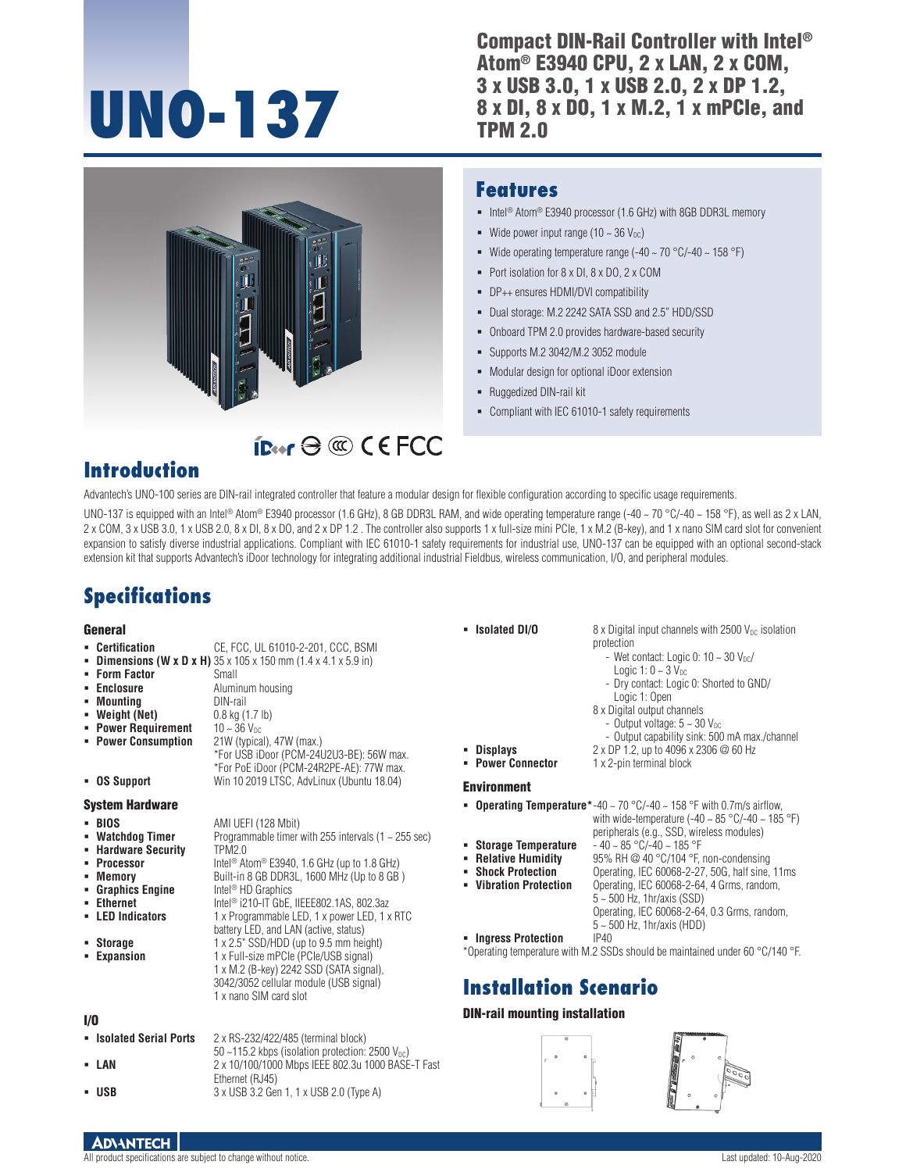# **UNO-137**

Compact DIN-Rail Controller with Intel® Atom® E3940 CPU, 2 x LAN, 2 x COM, 3 x USB 3.0, 1 x USB 2.0, 2 x DP 1.2, 8 x DI, 8 x DO, 1 x M.2, 1 x mPCIe, and TPM 2.0



### Port isolation for 8 x DI, 8 x DO, 2 x COM

DP++ ensures HDMI/DVI compatibility

Wide power input range (10  $\sim$  36  $V_{DC}$ )

Dual storage: M.2 2242 SATA SSD and 2.5" HDD/SSD

■ Intel<sup>®</sup> Atom<sup>®</sup> E3940 processor (1.6 GHz) with 8GB DDR3L memory

Wide operating temperature range  $(-40 \sim 70 \degree C/- 40 \sim 158 \degree F)$ 

- Onboard TPM 2.0 provides hardware-based security
- Supports M.2 3042/M.2 3052 module
- Modular design for optional iDoor extension
- Ruggedized DIN-rail kit

**Features**

Compliant with IEC 61010-1 safety requirements

## **Introduction**

Advantech's UNO-100 series are DIN-rail integrated controller that feature a modular design for flexible configuration according to specific usage requirements.

 $IPer \ominus \textcircled$  CEFCC

UNO-137 is equipped with an Intel® Atom® E3940 processor (1.6 GHz), 8 GB DDR3L RAM, and wide operating temperature range (-40 ~ 70 °C/-40 ~ 158 °F), as well as 2 x LAN, 2 x COM, 3 x USB 3.0, 1 x USB 2.0, 8 x DI, 8 x DO, and 2 x DP 1.2 . The controller also supports 1 x full-size mini PCIe, 1 x M.2 (B-key), and 1 x nano SIM card slot for convenient expansion to satisfy diverse industrial applications. Compliant with IEC 61010-1 safety requirements for industrial use, UNO-137 can be equipped with an optional second-stack extension kit that supports Advantech's iDoor technology for integrating additional industrial Fieldbus, wireless communication, I/O, and peripheral modules.

## **Specifications**

#### **Conoral**

|                                                                                                                                                                                                                                                                                                                                                                                                                                                                                                                                                                                                             | • Isolated DI/O                                                                                                                                                     | $8 \times$ Digital input channels with 2500 V <sub>pc</sub> isolation                                                                                                                                                                                                                                                                                                                                                                                                                                                                                                               |
|-------------------------------------------------------------------------------------------------------------------------------------------------------------------------------------------------------------------------------------------------------------------------------------------------------------------------------------------------------------------------------------------------------------------------------------------------------------------------------------------------------------------------------------------------------------------------------------------------------------|---------------------------------------------------------------------------------------------------------------------------------------------------------------------|-------------------------------------------------------------------------------------------------------------------------------------------------------------------------------------------------------------------------------------------------------------------------------------------------------------------------------------------------------------------------------------------------------------------------------------------------------------------------------------------------------------------------------------------------------------------------------------|
| CE, FCC, UL 61010-2-201, CCC, BSMI<br><b>- Dimensions (W x D x H)</b> $35 \times 105 \times 150$ mm $(1.4 \times 4.1 \times 5.9)$ in<br>Small<br>Aluminum housing<br>DIN-rail<br>0.8 kg (1.7 lb)<br>$10 - 36$ V <sub>pc</sub><br>21W (typical), 47W (max.)<br>*For USB iDoor (PCM-24U2U3-BE): 56W max.<br>*For PoE iDoor (PCM-24R2PE-AE): 77W max.                                                                                                                                                                                                                                                          | <b>Displays</b><br><b>- Power Connector</b>                                                                                                                         | protection<br>- Wet contact: Logic 0: $10 \sim 30$ V <sub>pc</sub> /<br>Logic 1: $0 \sim 3$ $V_{DC}$<br>- Dry contact: Logic 0: Shorted to GND/<br>Logic 1: Open<br>8 x Digital output channels<br>- Output voltage: $5 \sim 30$ V <sub>DC</sub><br>- Output capability sink: 500 mA max./channel<br>2 x DP 1.2, up to 4096 x 2306 @ 60 Hz<br>1 x 2-pin terminal block                                                                                                                                                                                                              |
|                                                                                                                                                                                                                                                                                                                                                                                                                                                                                                                                                                                                             | <b>Environment</b>                                                                                                                                                  |                                                                                                                                                                                                                                                                                                                                                                                                                                                                                                                                                                                     |
| AMI UEFI (128 Mbit)<br>Programmable timer with 255 intervals (1 $\sim$ 255 sec)<br><b>TPM2.0</b><br>Intel <sup>®</sup> Atom <sup>®</sup> E3940, 1.6 GHz (up to 1.8 GHz)<br>Built-in 8 GB DDR3L, 1600 MHz (Up to 8 GB)<br>Intel <sup>®</sup> HD Graphics<br>Intel <sup>®</sup> i210-IT GbE, IIEEE802.1AS, 802.3az<br>1 x Programmable LED, 1 x power LED, 1 x RTC<br>battery LED, and LAN (active, status)<br>1 x 2.5" SSD/HDD (up to 9.5 mm height)<br>1 x Full-size mPCle (PCle/USB signal)<br>1 x M.2 (B-key) 2242 SSD (SATA signal),<br>3042/3052 cellular module (USB signal)<br>1 x nano SIM card slot | <b>Storage Temperature</b><br><b>Relative Humidity</b><br><b>Shock Protection</b><br>• Vibration Protection<br>- Ingress Protection<br><b>Installation Scenario</b> | <b>• Operating Temperature</b> *-40 ~ 70 °C/-40 ~ 158 °F with 0.7m/s airflow,<br>with wide-temperature (-40 $\sim$ 85 °C/-40 $\sim$ 185 °F)<br>peripherals (e.g., SSD, wireless modules)<br>$-40 \sim 85$ °C/-40 $\sim 185$ °F<br>95% RH @ 40 °C/104 °F, non-condensing<br>Operating, IEC 60068-2-27, 50G, half sine, 11ms<br>Operating, IEC 60068-2-64, 4 Grms, random,<br>$5 - 500$ Hz, 1hr/axis (SSD)<br>Operating, IEC 60068-2-64, 0.3 Grms, random,<br>$5 \sim 500$ Hz, 1hr/axis (HDD)<br>IP40<br>*Operating temperature with M.2 SSDs should be maintained under 60 °C/140 °F |
|                                                                                                                                                                                                                                                                                                                                                                                                                                                                                                                                                                                                             | <b>DIN-rail mounting installation</b>                                                                                                                               |                                                                                                                                                                                                                                                                                                                                                                                                                                                                                                                                                                                     |
| 2 x RS-232/422/485 (terminal block)<br>50 ~115.2 kbps (isolation protection: $2500 V_{DC}$ )                                                                                                                                                                                                                                                                                                                                                                                                                                                                                                                |                                                                                                                                                                     |                                                                                                                                                                                                                                                                                                                                                                                                                                                                                                                                                                                     |
|                                                                                                                                                                                                                                                                                                                                                                                                                                                                                                                                                                                                             | Win 10 2019 LTSC, AdvLinux (Ubuntu 18.04)<br>2 x 10/100/1000 Mbps IEEE 802.3u 1000 BASE-T Fast                                                                      |                                                                                                                                                                                                                                                                                                                                                                                                                                                                                                                                                                                     |





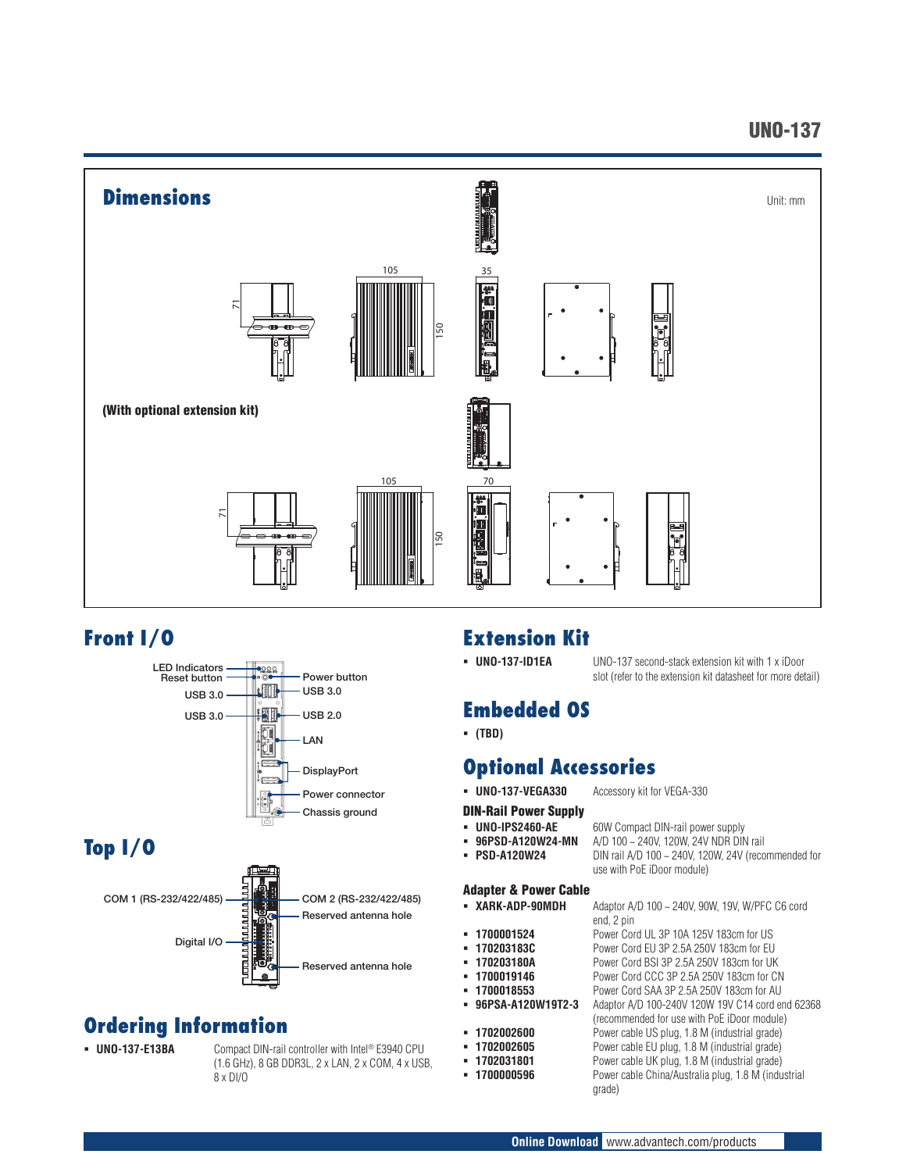## UNO-137



## **Front I/O**



# **Top I/O**



# **Ordering Information**

 **UNO-137-E13BA** Compact DIN-rail controller with Intel® E3940 CPU (1.6 GHz), 8 GB DDR3L, 2 x LAN, 2 x COM, 4 x USB, 8 x DI/O

## **Extension Kit**

#### **UNO-137-ID1EA** UNO-137 second-stack extension kit with 1 x iDoor slot (refer to the extension kit datasheet for more detail)

# **Embedded OS**

**(TBD)**

# **Optional Accessories**

- **UNO-137-VEGA330** Accessory kit for VEGA-330
- DIN-Rail Power Supply
- **UNO-IPS2460-AE** 60W Compact DIN-rail power supply
- 
- **96PSD-A120W24-MN** A/D 100 ~ 240V, 120W, 24V NDR DIN rail **PSD-A120W24** DIN rail A/D 100 ~ 240V, 120W, 24V (reco **PSD-A120W24** DIN rail A/D 100 ~ 240V, 120W, 24V (recommended for

#### use with PoE iDoor module) Adapter & Power Cable

| XARK-ADP-90MDH | Adaptor A/D $100 \sim$ |
|----------------|------------------------|
|                | end, 2 pin             |

- 
- 
- 
- 
- 
- 
- 
- 
- 
- 240V, 90W, 19V, W/PFC C6 cord
- **1700001524** Power Cord UL 3P 10A 125V 183cm for US
- **170203183C** Power Cord EU 3P 2.5A 250V 183cm for EU
- **170203180A** Power Cord BSI 3P 2.5A 250V 183cm for UK
	- **1700019146** Power Cord CCC 3P 2.5A 250V 183cm for CN<br> **1700018553** Power Cord SAA 3P 2.5A 250V 183cm for AU
- **1700018553** Power Cord SAA 3P 2.5A 250V 183cm for AU POWER Cord SAA 3P 2.5A 250V 183cm for AU **power 96PSA-A120W19T2-3** Adaptor A/D 100-240V 120W 19V C14 cord end 62368
- (recommended for use with PoE iDoor module) **1702002600** Power cable US plug, 1.8 M (industrial grade)
- **1702002605** Power cable EU plug, 1.8 M (industrial grade)
- **1702031801** Power cable UK plug, 1.8 M (industrial grade)<br>**1700000596** Power cable China/Australia plug, 1.8 M (indu
	- Power cable China/Australia plug, 1.8 M (industrial grade)